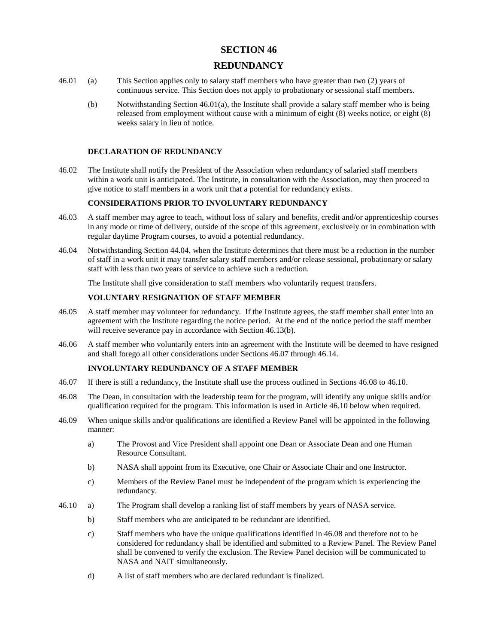## **SECTION 46**

# **REDUNDANCY**

- 46.01 (a) This Section applies only to salary staff members who have greater than two (2) years of continuous service. This Section does not apply to probationary or sessional staff members.
	- (b) Notwithstanding Section 46.01(a), the Institute shall provide a salary staff member who is being released from employment without cause with a minimum of eight (8) weeks notice, or eight (8) weeks salary in lieu of notice.

#### **DECLARATION OF REDUNDANCY**

46.02 The Institute shall notify the President of the Association when redundancy of salaried staff members within a work unit is anticipated. The Institute, in consultation with the Association, may then proceed to give notice to staff members in a work unit that a potential for redundancy exists.

#### **CONSIDERATIONS PRIOR TO INVOLUNTARY REDUNDANCY**

- 46.03 A staff member may agree to teach, without loss of salary and benefits, credit and/or apprenticeship courses in any mode or time of delivery, outside of the scope of this agreement, exclusively or in combination with regular daytime Program courses, to avoid a potential redundancy.
- 46.04 Notwithstanding Section 44.04, when the Institute determines that there must be a reduction in the number of staff in a work unit it may transfer salary staff members and/or release sessional, probationary or salary staff with less than two years of service to achieve such a reduction.

The Institute shall give consideration to staff members who voluntarily request transfers.

#### **VOLUNTARY RESIGNATION OF STAFF MEMBER**

- 46.05 A staff member may volunteer for redundancy. If the Institute agrees, the staff member shall enter into an agreement with the Institute regarding the notice period. At the end of the notice period the staff member will receive severance pay in accordance with Section 46.13(b).
- 46.06 A staff member who voluntarily enters into an agreement with the Institute will be deemed to have resigned and shall forego all other considerations under Sections 46.07 through 46.14.

## **INVOLUNTARY REDUNDANCY OF A STAFF MEMBER**

- 46.07 If there is still a redundancy, the Institute shall use the process outlined in Sections 46.08 to 46.10.
- 46.08 The Dean, in consultation with the leadership team for the program, will identify any unique skills and/or qualification required for the program. This information is used in Article 46.10 below when required.
- 46.09 When unique skills and/or qualifications are identified a Review Panel will be appointed in the following manner:
	- a) The Provost and Vice President shall appoint one Dean or Associate Dean and one Human Resource Consultant.
	- b) NASA shall appoint from its Executive, one Chair or Associate Chair and one Instructor.
	- c) Members of the Review Panel must be independent of the program which is experiencing the redundancy.
- 46.10 a) The Program shall develop a ranking list of staff members by years of NASA service.
	- b) Staff members who are anticipated to be redundant are identified.
	- c) Staff members who have the unique qualifications identified in 46.08 and therefore not to be considered for redundancy shall be identified and submitted to a Review Panel. The Review Panel shall be convened to verify the exclusion. The Review Panel decision will be communicated to NASA and NAIT simultaneously.
	- d) A list of staff members who are declared redundant is finalized.